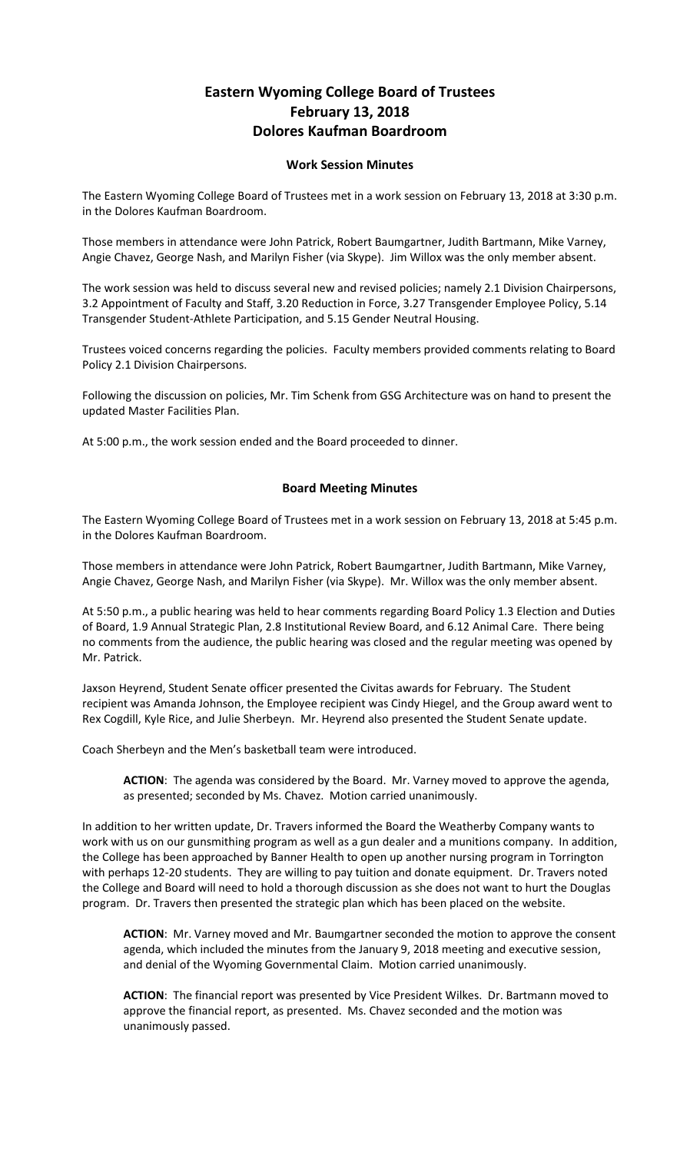## **Eastern Wyoming College Board of Trustees February 13, 2018 Dolores Kaufman Boardroom**

## **Work Session Minutes**

The Eastern Wyoming College Board of Trustees met in a work session on February 13, 2018 at 3:30 p.m. in the Dolores Kaufman Boardroom.

Those members in attendance were John Patrick, Robert Baumgartner, Judith Bartmann, Mike Varney, Angie Chavez, George Nash, and Marilyn Fisher (via Skype). Jim Willox was the only member absent.

The work session was held to discuss several new and revised policies; namely 2.1 Division Chairpersons, 3.2 Appointment of Faculty and Staff, 3.20 Reduction in Force, 3.27 Transgender Employee Policy, 5.14 Transgender Student-Athlete Participation, and 5.15 Gender Neutral Housing.

Trustees voiced concerns regarding the policies. Faculty members provided comments relating to Board Policy 2.1 Division Chairpersons.

Following the discussion on policies, Mr. Tim Schenk from GSG Architecture was on hand to present the updated Master Facilities Plan.

At 5:00 p.m., the work session ended and the Board proceeded to dinner.

## **Board Meeting Minutes**

The Eastern Wyoming College Board of Trustees met in a work session on February 13, 2018 at 5:45 p.m. in the Dolores Kaufman Boardroom.

Those members in attendance were John Patrick, Robert Baumgartner, Judith Bartmann, Mike Varney, Angie Chavez, George Nash, and Marilyn Fisher (via Skype). Mr. Willox was the only member absent.

At 5:50 p.m., a public hearing was held to hear comments regarding Board Policy 1.3 Election and Duties of Board, 1.9 Annual Strategic Plan, 2.8 Institutional Review Board, and 6.12 Animal Care. There being no comments from the audience, the public hearing was closed and the regular meeting was opened by Mr. Patrick.

Jaxson Heyrend, Student Senate officer presented the Civitas awards for February. The Student recipient was Amanda Johnson, the Employee recipient was Cindy Hiegel, and the Group award went to Rex Cogdill, Kyle Rice, and Julie Sherbeyn. Mr. Heyrend also presented the Student Senate update.

Coach Sherbeyn and the Men's basketball team were introduced.

**ACTION**: The agenda was considered by the Board. Mr. Varney moved to approve the agenda, as presented; seconded by Ms. Chavez. Motion carried unanimously.

In addition to her written update, Dr. Travers informed the Board the Weatherby Company wants to work with us on our gunsmithing program as well as a gun dealer and a munitions company. In addition, the College has been approached by Banner Health to open up another nursing program in Torrington with perhaps 12-20 students. They are willing to pay tuition and donate equipment. Dr. Travers noted the College and Board will need to hold a thorough discussion as she does not want to hurt the Douglas program. Dr. Travers then presented the strategic plan which has been placed on the website.

**ACTION**: Mr. Varney moved and Mr. Baumgartner seconded the motion to approve the consent agenda, which included the minutes from the January 9, 2018 meeting and executive session, and denial of the Wyoming Governmental Claim. Motion carried unanimously.

**ACTION**: The financial report was presented by Vice President Wilkes. Dr. Bartmann moved to approve the financial report, as presented. Ms. Chavez seconded and the motion was unanimously passed.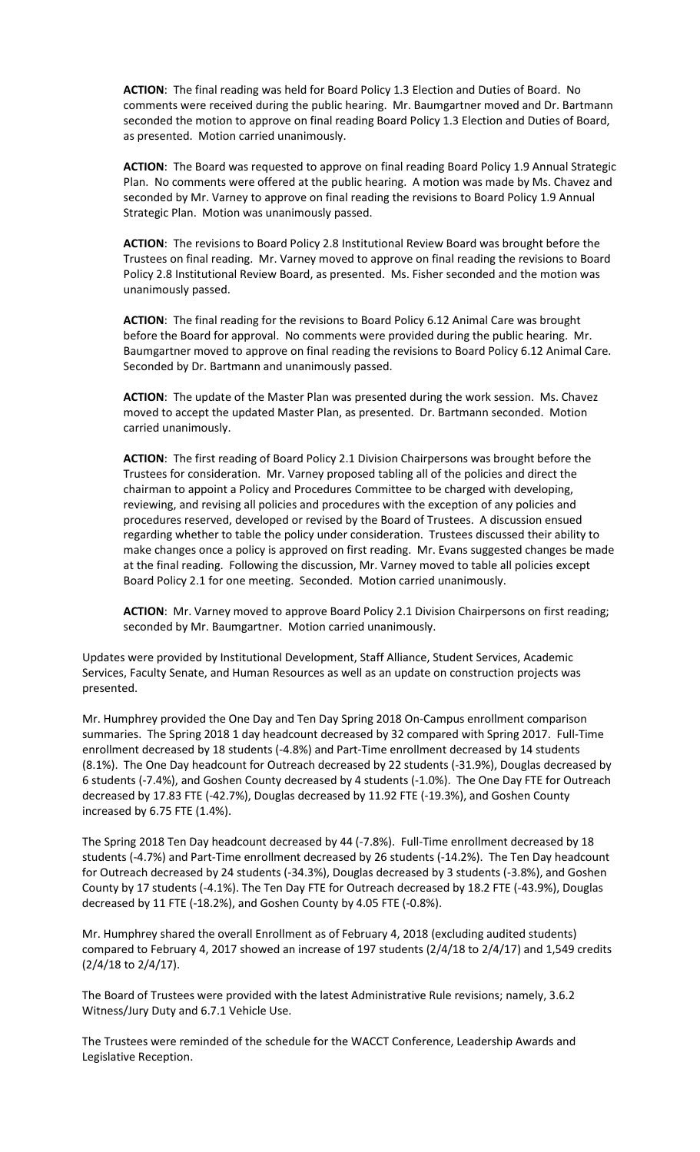**ACTION**: The final reading was held for Board Policy 1.3 Election and Duties of Board. No comments were received during the public hearing. Mr. Baumgartner moved and Dr. Bartmann seconded the motion to approve on final reading Board Policy 1.3 Election and Duties of Board, as presented. Motion carried unanimously.

**ACTION**: The Board was requested to approve on final reading Board Policy 1.9 Annual Strategic Plan. No comments were offered at the public hearing. A motion was made by Ms. Chavez and seconded by Mr. Varney to approve on final reading the revisions to Board Policy 1.9 Annual Strategic Plan. Motion was unanimously passed.

**ACTION**: The revisions to Board Policy 2.8 Institutional Review Board was brought before the Trustees on final reading. Mr. Varney moved to approve on final reading the revisions to Board Policy 2.8 Institutional Review Board, as presented. Ms. Fisher seconded and the motion was unanimously passed.

**ACTION**: The final reading for the revisions to Board Policy 6.12 Animal Care was brought before the Board for approval. No comments were provided during the public hearing. Mr. Baumgartner moved to approve on final reading the revisions to Board Policy 6.12 Animal Care. Seconded by Dr. Bartmann and unanimously passed.

**ACTION**: The update of the Master Plan was presented during the work session. Ms. Chavez moved to accept the updated Master Plan, as presented. Dr. Bartmann seconded. Motion carried unanimously.

**ACTION**: The first reading of Board Policy 2.1 Division Chairpersons was brought before the Trustees for consideration. Mr. Varney proposed tabling all of the policies and direct the chairman to appoint a Policy and Procedures Committee to be charged with developing, reviewing, and revising all policies and procedures with the exception of any policies and procedures reserved, developed or revised by the Board of Trustees. A discussion ensued regarding whether to table the policy under consideration. Trustees discussed their ability to make changes once a policy is approved on first reading. Mr. Evans suggested changes be made at the final reading. Following the discussion, Mr. Varney moved to table all policies except Board Policy 2.1 for one meeting. Seconded. Motion carried unanimously.

**ACTION**: Mr. Varney moved to approve Board Policy 2.1 Division Chairpersons on first reading; seconded by Mr. Baumgartner. Motion carried unanimously.

Updates were provided by Institutional Development, Staff Alliance, Student Services, Academic Services, Faculty Senate, and Human Resources as well as an update on construction projects was presented.

Mr. Humphrey provided the One Day and Ten Day Spring 2018 On-Campus enrollment comparison summaries. The Spring 2018 1 day headcount decreased by 32 compared with Spring 2017. Full-Time enrollment decreased by 18 students (-4.8%) and Part-Time enrollment decreased by 14 students (8.1%). The One Day headcount for Outreach decreased by 22 students (-31.9%), Douglas decreased by 6 students (-7.4%), and Goshen County decreased by 4 students (-1.0%). The One Day FTE for Outreach decreased by 17.83 FTE (-42.7%), Douglas decreased by 11.92 FTE (-19.3%), and Goshen County increased by 6.75 FTE (1.4%).

The Spring 2018 Ten Day headcount decreased by 44 (-7.8%). Full-Time enrollment decreased by 18 students (-4.7%) and Part-Time enrollment decreased by 26 students (-14.2%).The Ten Day headcount for Outreach decreased by 24 students (-34.3%), Douglas decreased by 3 students (-3.8%), and Goshen County by 17 students (-4.1%). The Ten Day FTE for Outreach decreased by 18.2 FTE (-43.9%), Douglas decreased by 11 FTE (-18.2%), and Goshen County by 4.05 FTE (-0.8%).

Mr. Humphrey shared the overall Enrollment as of February 4, 2018 (excluding audited students) compared to February 4, 2017 showed an increase of 197 students (2/4/18 to 2/4/17) and 1,549 credits (2/4/18 to 2/4/17).

The Board of Trustees were provided with the latest Administrative Rule revisions; namely, 3.6.2 Witness/Jury Duty and 6.7.1 Vehicle Use.

The Trustees were reminded of the schedule for the WACCT Conference, Leadership Awards and Legislative Reception.